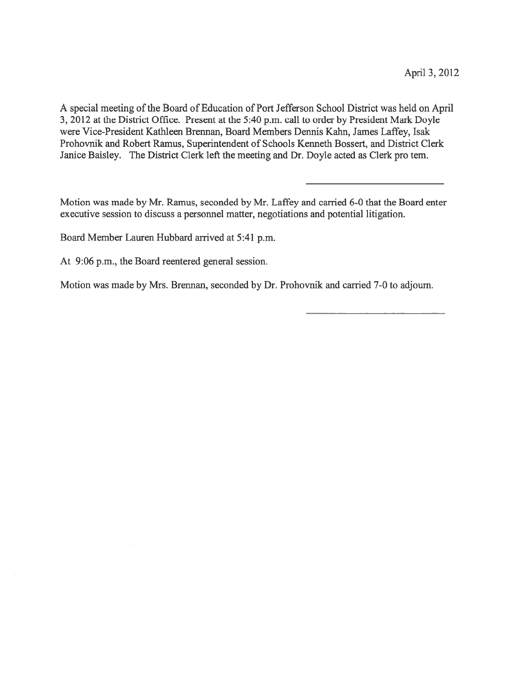A special meeting of the Board of Education of Port Jefferson School District was held on April 3, 2012 at the District Office. Present at the 5:40 p.m. call to order by President Mark Doyle were Vice-President Kathleen Brennan, Board Members Dennis Kahn, James Laffey, Isak Prohovnik and Robert Ramus, Superintendent of Schools Kenneth Bossert, and District Clerk Janice Baisley. The District Clerk left the meeting and Dr. Doyle acted as Clerk pro tern.

Motion was made by Mr. Ramus, seconded by Mr. Laffey and carried 6-0 that the Board enter executive session to discuss <sup>a</sup> personnel matter, negotiations and potential litigation.

Board Member Lauren Hubbard arrived at 5:41 p.m.

At 9:06 p.m., the Board reentered general session.

Motion was made by Mrs. Brennan, seconded by Dr. Prohovnik and carried 7-0 to adjourn.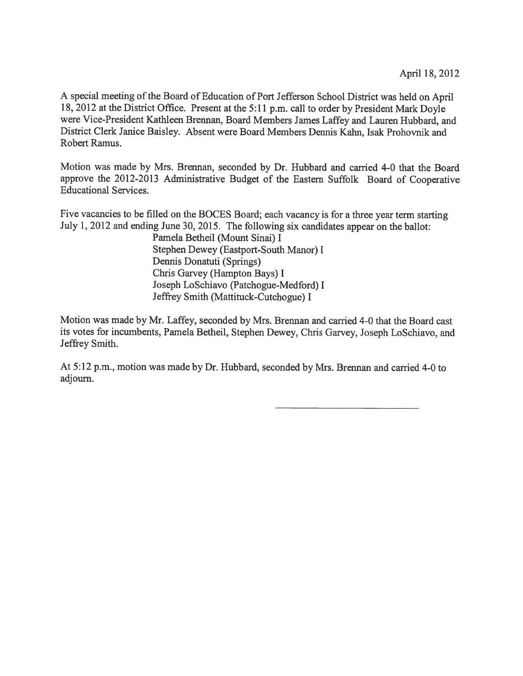<sup>A</sup> special meeting of the Board of Education of Port Jefferson School District was held on April 18, <sup>2012</sup> at the District Office. Present at the 5:11 p.m. call to order by President Mark Doyle were Vice-President Kathleen Brennan, Board Members James Laffey and Lauren Hubbard, and District Clerk Janice Baisley. Absent were Board Members Dennis Kahn, Isak Prohovnik and Robert Ramus.

Motion was made by Mrs. Brennan, seconded by Dr. Hubbard and carried 4-0 that the Board approve the 2012-2013 Administrative Budget of the Eastern Suffolk Board of Cooperative Educational Services.

Five vacancies to be filled on the BOCES Board; each vacancy is for <sup>a</sup> three year term starting July 1, <sup>2012</sup> and ending June 30, 2015. The following six candidates appear on the ballot:

> Pamela Betheil (Mount Sinai) I Stephen Dewey (Eastport-South Manor) I Dennis Donatuti (Springs) Chris Garvey (Hampton Bays) <sup>I</sup> Joseph LoSchiavo (Patchogue-Medford) I Jeffrey Smith (Mattituck-Cutchogue) I

Motion was made by Mr. Laffey, seconded by Mrs. Brennan and carried 4-0 that the Board cast its votes for incumbents, Pamela Betheil, Stephen Dewey, Chris Garvey, Joseph LoSchiavo, and Jeffrey Smith.

At 5:12 p.m., motion was made by Dr. Hubbard, seconded by Mrs. Brennan and carried 4-0 to adjourn.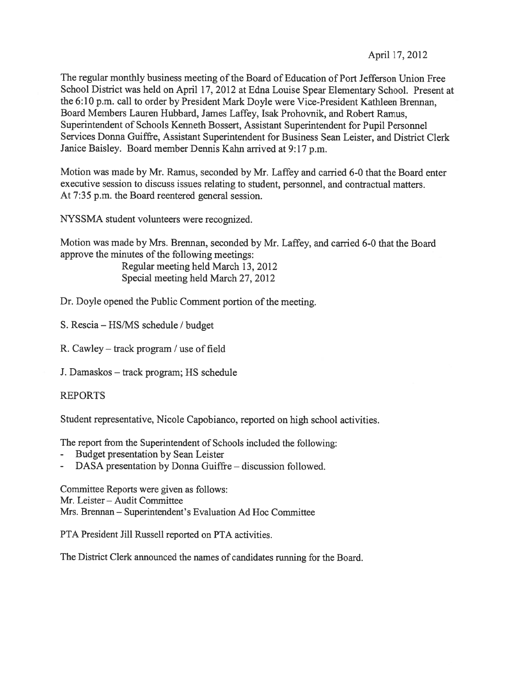The regular monthly business meeting of the Board of Education of Port Jefferson Union Free School District was held on April 17, <sup>2012</sup> at Edna Louise Spear Elementary School. Present at the 6:10 p.m. call to order by President Mark Doyle were Vice-President Kathleen Brennan, Board Members Lauren Hubbard, James Laffey, Isak Prohovnik, and Robert Ramus, Superintendent of Schools Kenneth Bossert, Assistant Superintendent for Pupil Personnel Services Donna Guiffre, Assistant Superintendent for Business Sean Leister, and District Clerk Janice Baisley. Board member Dennis Kahn arrived at 9:17 p.m.

Motion was made by Mr. Ramus, seconded by Mr. Laffey and carried 6-0 that the Board enter executive session to discuss issues relating to student, personnel, and contractual matters. At 7:35 p.m. the Board reentered general session.

NYSSMA student volunteers were recognized.

Motion was made by Mrs. Brennan, seconded by Mr. Laffey, and carried 6-0 that the Board approve the minutes of the following meetings:

> Regular meeting held March 13, 2012 Special meeting held March 27, 2012

Dr. Doyle opened the Public Comment portion of the meeting.

S. Rescia — HS/MS schedule / budget

R. Cawley — track program / use of field

J. Damaskos — track program; HS schedule

REPORTS

Student representative, Nicole Capobianco, reported on high school activities.

The repor<sup>t</sup> from the Superintendent of Schools included the following:

- Budget presentation by Sean Leister
- DASA presentation by Donna Guiffre discussion followed.

Committee Reports were given as follows: Mr. Leister — Audit Committee Mrs. Brennan — Superintendent's Evaluation Ad Hoc Committee

PTA President Jill Russell reported on PTA activities.

The District Clerk announced the names of candidates running for the Board.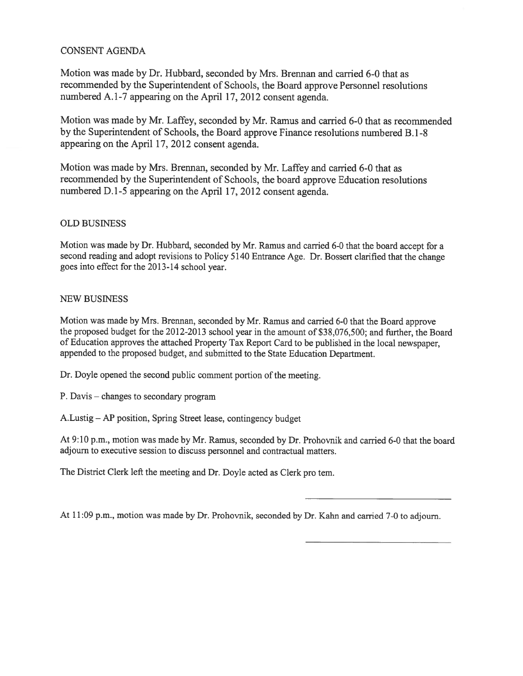### CONSENT AGENDA

Motion was made by Dr. Hubbard, seconded by Mrs. Brennan and carried 6-0 that as recommended by the Superintendent of Schools, the Board approve Personnel resolutions numbered A.1-7 appearing on the April 17, <sup>2012</sup> consent agenda.

Motion was made by Mr. Laffey, seconded by Mr. Ramus and carried 6-0 that as recommended by the Superintendent of Schools, the Board approve Finance resolutions numbered B. 1-8 appearing on the April 17, 2012 consent agenda.

Motion was made by Mrs. Brennan, seconded by Mr. Laffey and carried 6-0 that as recommended by the Superintendent of Schools, the board approve Education resolutions numbered D.1-5 appearing on the April 17, <sup>2012</sup> consent agenda.

## OLD BUSINESS

Motion was made by Dr. Hubbard, seconded by Mr. Ramus and carried 6-0 that the board accep<sup>t</sup> for <sup>a</sup> second reading and adopt revisions to Policy <sup>5140</sup> Entrance Age. Dr. Bossert clarified that the change goes into effect for the 2013-14 school year.

### NEW BUSINESS

Motion was made by Mrs. Brennan, seconded by Mr. Ramus and carried 6-0 that the Board approve the proposed budget for the 2012-2013 school year in the amount of \$38,076,500; and further, the Board of Education approves the attached Property Tax Report Card to be published in the local newspaper, appended to the propose<sup>d</sup> budget, and submitted to the State Education Department.

Dr. Doyle opened the second public comment portion of the meeting.

P. Davis — changes to secondary program

A.Lustig — AP position, Spring Street lease, contingency budget

At 9:10 p.m., motion was made by Mr. Ramus, seconded by Dr. Prohovnik and carried 6-0 that the board adjourn to executive session to discuss personnel and contractual matters.

The District Clerk left the meeting and Dr. Doyle acted as Clerk pro tem.

At 11:09 p.m., motion was made by Dr. Prohovnik, seconded by Dr. Kahn and carried 7-0 to adjourn.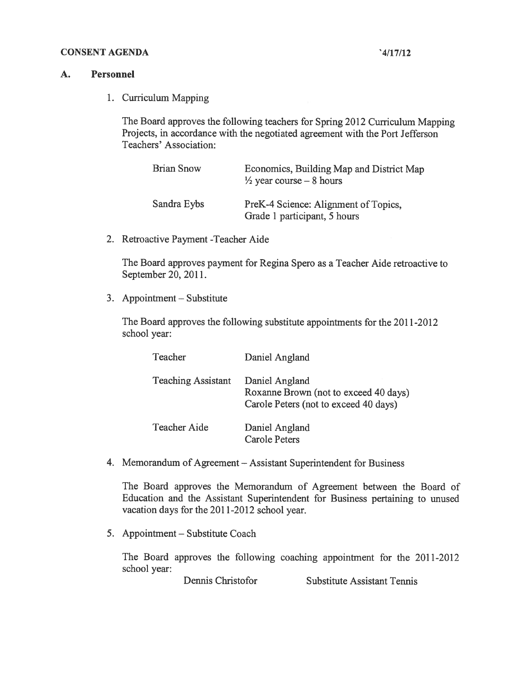### CONSENT AGENDA '4/17/12

### A. Personnel

1. Curriculum Mapping

The Board approves the following teachers for Spring <sup>2012</sup> Curriculum Mapping Projects, in accordance with the negotiated agreemen<sup>t</sup> with the Port Jefferson Teachers' Association:

| Brian Snow  | Economics, Building Map and District Map<br>$\frac{1}{2}$ year course – 8 hours |
|-------------|---------------------------------------------------------------------------------|
| Sandra Eybs | PreK-4 Science: Alignment of Topics,<br>Grade 1 participant, 5 hours            |

2. Retroactive Payment -Teacher Aide

The Board approves paymen<sup>t</sup> for Regina Spero as <sup>a</sup> Teacher Aide retroactive to September 20, 2011.

3. Appointment — Substitute

The Board approves the following substitute appointments for the 2011-2012 school year:

| Teacher                   | Daniel Angland                                                                                   |
|---------------------------|--------------------------------------------------------------------------------------------------|
| <b>Teaching Assistant</b> | Daniel Angland<br>Roxanne Brown (not to exceed 40 days)<br>Carole Peters (not to exceed 40 days) |
| <b>Teacher Aide</b>       | Daniel Angland<br><b>Carole Peters</b>                                                           |

4. Memorandum of Agreement — Assistant Superintendent for Business

The Board approves the Memorandum of Agreement between the Board of Education and the Assistant Superintendent for Business pertaining to unused vacation days for the 2011-2012 school year.

5. Appointment — Substitute Coach

The Board approves the following coaching appointment for the 2011-2012 school year:

Dennis Christofor Substitute Assistant Tennis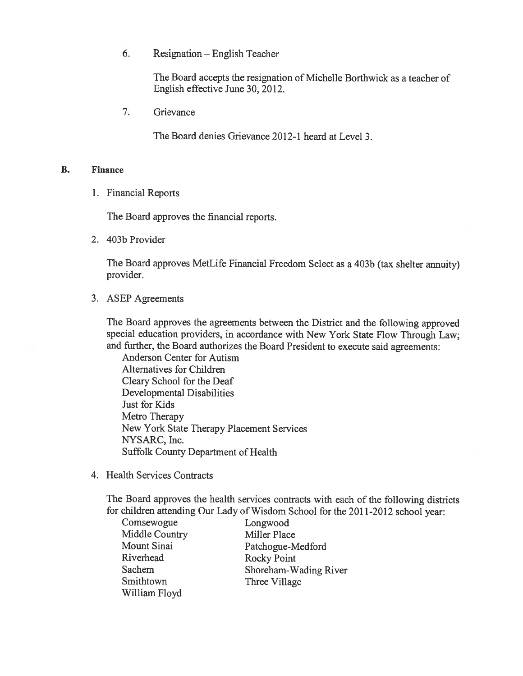6. Resignation — English Teacher

The Board accepts the resignation of Michelle Borthwick as <sup>a</sup> teacher of English effective June 30, 2012.

7. Grievance

The Board denies Grievance 2012-1 heard at Level 3.

## B. Finance

1. Financial Reports

The Board approves the financial reports.

2. 403b Provider

The Board approves MetLife Financial Freedom Select as <sup>a</sup> 403b (tax shelter annuity) provider.

3. ASEP Agreements

The Board approves the agreements between the District and the following approve<sup>d</sup> special education providers, in accordance with New York State Flow Through Law; and further, the Board authorizes the Board President to execute said agreements:

Anderson Center for Autism Alternatives for Children Cleary School for the Deaf Developmental Disabilities Just for Kids Metro Therapy New York State Therapy Placement Services NYSARC, Inc. Suffolk County Department of Health

4. Health Services Contracts

The Board approves the health services contracts with each of the following districts for children attending Our Lady of Wisdom School for the 2011-2012 school year:

| Comsewogue     | Longwood              |
|----------------|-----------------------|
| Middle Country | <b>Miller Place</b>   |
| Mount Sinai    | Patchogue-Medford     |
| Riverhead      | <b>Rocky Point</b>    |
| Sachem         | Shoreham-Wading River |
| Smithtown      | Three Village         |
| William Floyd  |                       |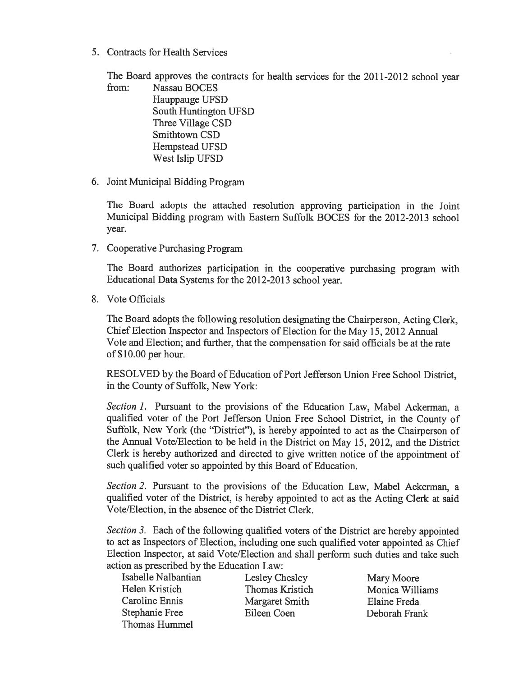5. Contracts for Health Services

The Board approves the contracts for health services for the 2011-2012 school year

from: Nassau BOCES Hauppauge UFSD South Huntington UFSD Three Village CSD Smithtown CSD Hempstead UFSD West Islip UFSD

6. Joint Municipal Bidding Program

The Board adopts the attached resolution approving participation in the Joint Municipal Bidding program with Eastern Suffolk BOCES for the 2012-2013 school year.

7. Cooperative Purchasing Program

The Board authorizes participation in the cooperative purchasing program with Educational Data Systems for the 2012-2013 school year.

8. Vote Officials

The Board adopts the following resolution designating the Chairperson, Acting Clerk, Chief Election Inspector and Inspectors of Election for the May 15, 2012 Annual Vote and Election; and further, that the compensation for said officials be at the rate of\$10.00 per hour.

RESOLVED by the Board of Education of Port Jefferson Union Free School District, in the County of Suffolk, New York:

Section 1. Pursuant to the provisions of the Education Law, Mabel Ackerman, a qualified voter of the Port Jefferson Union Free School District, in the County of Suffolk, New York (the "District"), is hereby appointed to act as the Chairperson of the Annual Vote/Election to be held in the District on May 15, 2012, and the District Clerk is hereby authorized and directed to <sup>g</sup>ive written notice of the appointment of such qualified voter so appointed by this Board of Education.

Section 2. Pursuant to the provisions of the Education Law, Mabel Ackerman, a qualified voter of the District, is hereby appointed to act as the Acting Clerk at said Vote/Election, in the absence of the District Clerk.

Section 3. Each of the following qualified voters of the District are hereby appointed to act as Inspectors of Election, including one such qualified voter appointed as Chief Election Inspector, at said Vote/Election and shall perform such duties and take such action as prescribed by the Education Law:

Isabelle Nalbantian Lesley Chesley Mary Moore Helen Kristich Thomas Kristich Monica Williams Caroline Ennis Margaret Smith Elaine Freda Stephanie Free Eileen Coen Deborah Frank Thomas Hummel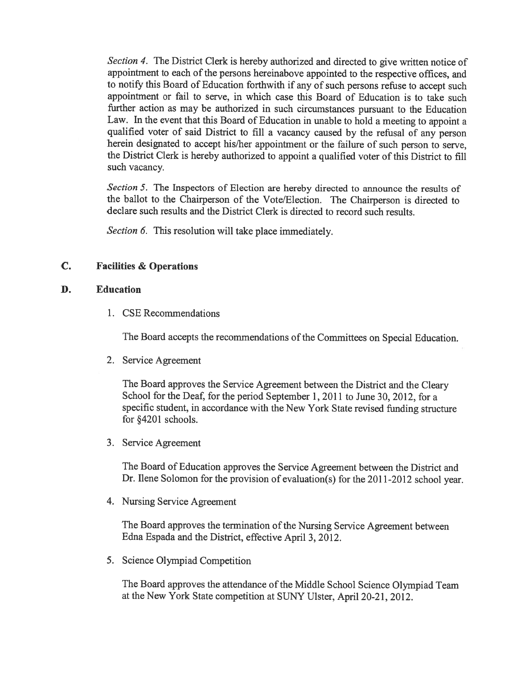Section 4. The District Clerk is hereby authorized and directed to give written notice of appointment to each of the persons hereinabove appointed to the respective offices, and to notify this Board of Education forthwith if any of such persons refuse to accep<sup>t</sup> such appointment or fail to serve, in which case this Board of Education is to take such further action as may be authorized in such circumstances pursuan<sup>t</sup> to the Education Law. In the event that this Board of Education in unable to hold <sup>a</sup> meeting to appoint <sup>a</sup> qualified voter of said District to fill <sup>a</sup> vacancy caused by the refusal of any person herein designated to accep<sup>t</sup> his/her appointment or the failure of such person to serve, the District Clerk is hereby authorized to appoint <sup>a</sup> qualified voter of this District to fill such vacancy.

Section 5. The Inspectors of Election are hereby directed to announce the results of the ballot to the Chairperson of the Vote/Election. The Chairperson is directed to declare such results and the District Clerk is directed to record such results.

Section 6. This resolution will take place immediately.

# C. Facilities & Operations

# D. Education

1. CSE Recommendations

The Board accepts the recommendations of the Committees on Special Education.

2. Service Agreement

The Board approves the Service Agreement between the District and the Cleary School for the Deaf, for the period September 1, 2011 to June 30, 2012, for <sup>a</sup> specific student, in accordance with the New York State revised funding structure for §4201 schools.

3. Service Agreement

The Board of Education approves the Service Agreement between the District and Dr. Ilene Solomon for the provision of evaluation(s) for the 2011-2012 school year.

4. Nursing Service Agreement

The Board approves the termination of the Nursing Service Agreement between Edna Espada and the District, effective April 3, 2012.

5. Science Olympiad Competition

The Board approves the attendance of the Middle School Science Olympiad Team at the New York State competition at SUNY Ulster, April 20-21, 2012.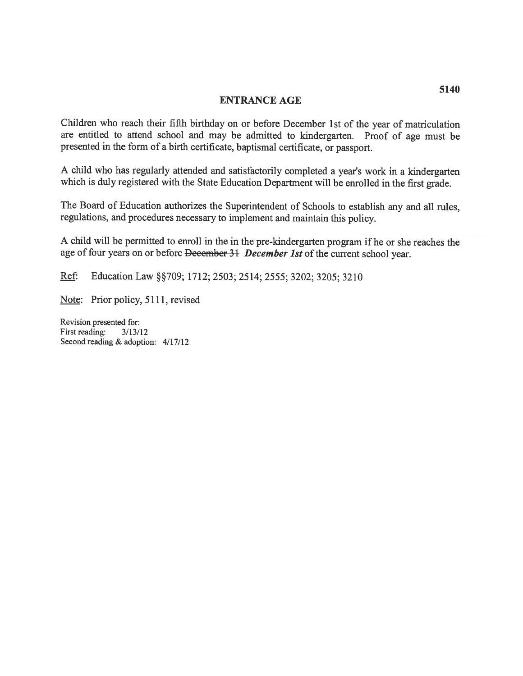### ENTRANCE AGE

Children who reach their fifth birthday on or before December 1st of the year of matriculation are entitled to attend school and may be admitted to kindergarten. Proof of age must be presented in the form of <sup>a</sup> birth certificate, baptismal certificate, or passport.

<sup>A</sup> child who has regularly attended and satisfactorily completed <sup>a</sup> year's work in <sup>a</sup> kindergarten which is duly registered with the State Education Department will be enrolled in the first grade.

The Board of Education authorizes the Superintendent of Schools to establish any and all rules, regulations, and procedures necessary to implement and maintain this policy.

<sup>A</sup> child will be permitted to enroll in the in the pre-kindergarten program if he or she reaches the age of four years on or before December 31 December 1st of the current school year.

Ref: Education Law §§709; 1712; 2503; 2514; 2555; 3202; 3205; 3210

Note: Prior policy, 5111, revised

Revision presented for: First reading: 3/13/12 Second reading & adoption: 4/17/12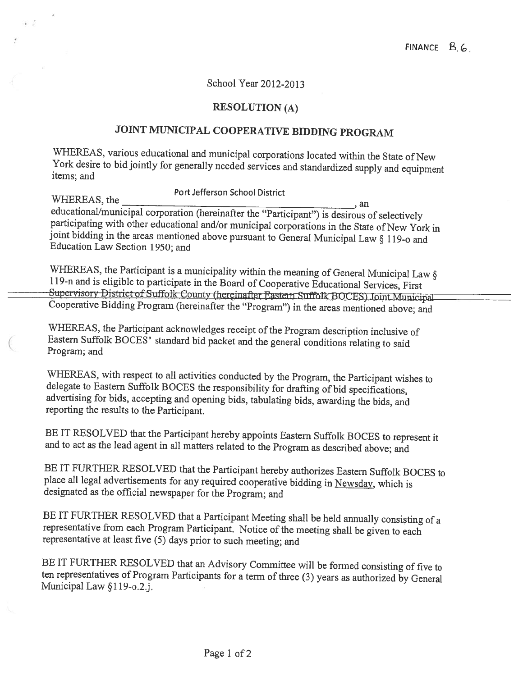# School Year 2012-2013

# RESOLUTION (A)

# JOINT MUNICIPAL COOPERATIVE BIDDING PROGRAM

WHEREAS, various educational and municipal corporations located within the State of New York desire to bid jointly for generally needed services and standardized supply and equipment items; and

Port Jefferson School District WHEREAS, the an participating with other educational and/or municipal corporations in the State of New York in joint bidding in the areas mentioned above pursuant to General Municipal Law § 119-o and Education Law Section 1950; and

WHEREAS, the Participant is a municipality within the meaning of General Municipal Law § Supervisory District of Suffolk County (hereinafter Eastern Suffolk BOCES) Joint Municipal 119-n and is eligible to participate in the Board of Cooperative Educational Services, First Cooperative Bidding Program (hereinafter the "Program") in the areas mentioned above; and

WHEREAS, the Participant acknowledges receipt of the Program description inclusive of Eastern Suffolk BOCES' standard bid packet and the general conditions relating to said Program; and

WHEREAS, with respect to all activities conducted by the Program, the Participant wishes to delegate to Eastern Suffolk BOCES the responsibility for drafting of bid specifications, advertising for bids, accepting and openi

BE IT RESOLVED that the Participant hereby appoints Eastern Suffolk BOCES to represent it and to act as the lead agent in all matters related to the Program as described above; and

BE IT FURTHER RESOLVED that the Participant hereby authorizes Eastern Suffolk BOCES to <sup>p</sup>lace all legal advertisements for any required cooperative bidding in Newsday, which is designated as the official newspaper for the Program; and

BE IT FURTHER RESOLVED that a Participant Meeting shall be held annually consisting of a representative from each Program Participant. Notice of the meeting shall be given to each representative at least five (5) days prio

BE IT FURTHER RESOLVED that an Advisory Committee will be formed consisting of five to ten representatives of Program Participants for a term of three (3) years as authorized by General Municipal Law §119-o.2.j.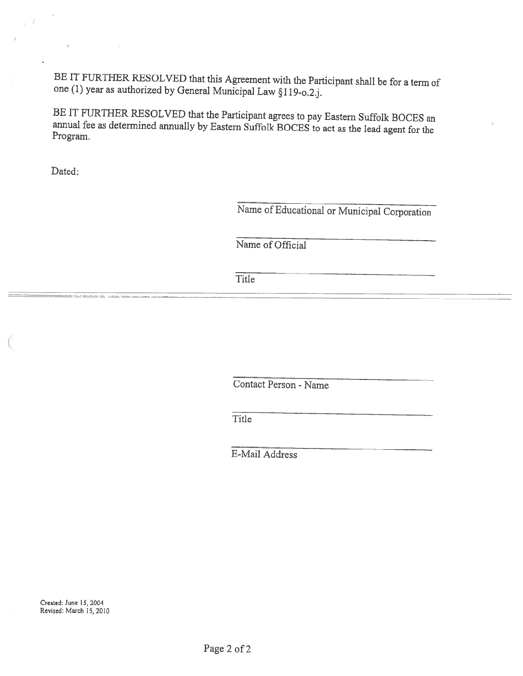BE IT FURTHER RESOLVED that this Agreement with the Participant shall be for a term of one (1) year as authorized by General Municipal Law §119-o.2.j.

BE IT FURTHER RESOLVED that the Participant agrees to pay Eastern Suffolk BOCES an annual fee as determined annually by Eastern Suffolk BOCES to act as the lead agen<sup>t</sup> for the Program

Dated:

Name of Educational or Municipal Corporation

Name of Official

**Title** 

Contact Person - Name

Title

E-Mail Address

Created: June 15, 2004 Revised: March 15, 2010